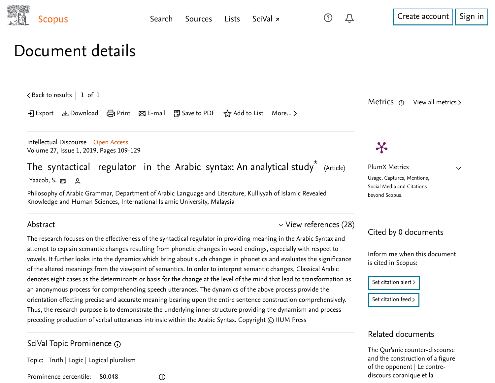

 $\checkmark$ 

## Document details

 $\zeta$  [Back to results](https://www-scopus-com.ezproxy.um.edu.my/results/results.uri?sort=plf-f&src=s&st1=The+syntactical+regulator+in+the+Arabic+&st2=&sid=4c3693a1882bb5ed3aded62ae9aae029&sot=b&sdt=b&sl=47&s=TITLE%28The+syntactical+regulator+in+the+Arabic+%29&offset=1&origin=recordpage)  $\vert$  1 of 1

 $\exists$  Export  $\bigcup$  Download  $\bigoplus$  Print  $\boxtimes$  E-mail  $\bigoplus$  Save to PDF  $\bigotimes$  Add to List More... >

[Intellectual Discourse](https://www-scopus-com.ezproxy.um.edu.my/sourceid/5600156881?origin=recordpage) Open Access Volume 27, Issue 1, 2019, Pages 109-129

The syntactical regulator in the Arabic syntax: An analytical study $^{\star}\,$   $_{\odot}$  (Article) [Yaacob, S.](https://www-scopus-com.ezproxy.um.edu.my/authid/detail.uri?authorId=56402878900&eid=2-s2.0-85068358724) 図 Q

Philosophy of Arabic Grammar, Department of Arabic Language and Literature, Kulliyyah of Islamic Revealed Knowledge and Human Sciences, International Islamic University, Malaysia

 $\odot$ 

### Abstract

The research focuses on the effectiveness of the syntactical regulator in providing meaning in the Arabic Syntax and attempt to explain semantic changes resulting from phonetic changes in word endings, especially with respect to vowels. It further looks into the dynamics which bring about such changes in phonetics and evaluates the significance of the altered meanings from the viewpoint of semantics. In order to interpret semantic changes, Classical Arabic denotes eight cases as the determinants or basis for the change at the level of the mind that lead to transformation as an anonymous process for comprehending speech utterances. The dynamics of the above process provide the orientation effecting precise and accurate meaning bearing upon the entire sentence construction comprehensively. Thus, the research purpose is to demonstrate the underlying inner structure providing the dynamism and process preceding production of verbal utterances intrinsic within the Arabic Syntax. Copyright © IIUM Press

SciVal Topic Prominence

Topic: Truth | Logic | Logical pluralism

Prominence percentile: 80.048

 $\vee$  [View references \(28\)](#page-1-0)

Metrics ര View all metrics  $\triangleright$ 

# $\boldsymbol{\varkappa}$

PlumX Metrics Usage, Captures, Mentions, Social Media and Citations beyond Scopus.

### Cited by 0 documents

Inform me when this document is cited in Scopus:

| Set citation alert > |
|----------------------|
|                      |
| Set citation feed >  |

### Related documents

The Qur'anic counter-discourse [and the construction of a figure](https://www-scopus-com.ezproxy.um.edu.my/record/display.uri?origin=recordpage&zone=relatedDocuments&eid=2-s2.0-85021089468&citeCnt=0&noHighlight=false&sort=plf-f&src=s&st1=The+syntactical+regulator+in+the+Arabic+&st2=&sid=4c3693a1882bb5ed3aded62ae9aae029&sot=b&sdt=b&sl=47&s=TITLE%28The+syntactical+regulator+in+the+Arabic+%29&relpos=0) of the opponent | Le contrediscours coranique et la